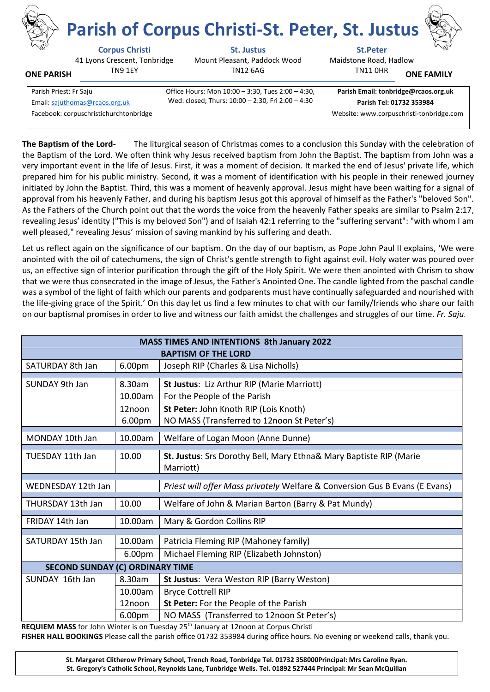

**ONE PARISH**

41 Lyons Crescent, Tonbridge TN9 1EY

**Corpus Christi St. Justus St.Peter** Mount Pleasant, Paddock Wood TN12 6AG

**Parish of Corpus Christi-St. Peter, St. Justus**



Maidstone Road, Hadlow TN11 0HR **ONE FAMILY**

| Parish Priest: Fr Saju                 | Office Hours: Mon 10:00 - 3:30, Tues 2:00 - 4:30, | Parish Email: tonbridge@rcaos.org.uk     |
|----------------------------------------|---------------------------------------------------|------------------------------------------|
| Email: sajuthomas@rcaos.org.uk         | Wed: closed; Thurs: 10:00 - 2:30, Fri 2:00 - 4:30 | Parish Tel: 01732 353984                 |
| Facebook: corpuschristichurchtonbridge |                                                   | Website: www.corpuschristi-tonbridge.com |
|                                        |                                                   |                                          |

**The Baptism of the Lord-** The liturgical season of Christmas comes to a conclusion this Sunday with the celebration of the Baptism of the Lord. We often think why Jesus received baptism from John the Baptist. The baptism from John was a very important event in the life of Jesus. First, it was a moment of decision. It marked the end of Jesus' private life, which prepared him for his public ministry. Second, it was a moment of identification with his people in their renewed journey initiated by John the Baptist. Third, this was a moment of heavenly approval. Jesus might have been waiting for a signal of approval from his heavenly Father, and during his baptism Jesus got this approval of himself as the Father's "beloved Son". As the Fathers of the Church point out that the words the voice from the heavenly Father speaks are similar to Psalm 2:17, revealing Jesus' identity ("This is my beloved Son") and of Isaiah 42:1 referring to the "suffering servant": "with whom I am well pleased," revealing Jesus' mission of saving mankind by his suffering and death.

Let us reflect again on the significance of our baptism. On the day of our baptism, as Pope John Paul II explains, 'We were anointed with the oil of catechumens, the sign of Christ's gentle strength to fight against evil. Holy water was poured over us, an effective sign of interior purification through the gift of the Holy Spirit. We were then anointed with Chrism to show that we were thus consecrated in the image of Jesus, the Father's Anointed One. The candle lighted from the paschal candle was a symbol of the light of faith which our parents and godparents must have continually safeguarded and nourished with the life-giving grace of the Spirit.' On this day let us find a few minutes to chat with our family/friends who share our faith on our baptismal promises in order to live and witness our faith amidst the challenges and struggles of our time. *Fr. Saju*.

| <b>MASS TIMES AND INTENTIONS 8th January 2022</b> |                  |                                                                                     |  |  |
|---------------------------------------------------|------------------|-------------------------------------------------------------------------------------|--|--|
| <b>BAPTISM OF THE LORD</b>                        |                  |                                                                                     |  |  |
| SATURDAY 8th Jan                                  | 6.00pm           | Joseph RIP (Charles & Lisa Nicholls)                                                |  |  |
| SUNDAY 9th Jan                                    | 8.30am           | St Justus: Liz Arthur RIP (Marie Marriott)                                          |  |  |
|                                                   | 10.00am          | For the People of the Parish                                                        |  |  |
|                                                   | 12noon<br>6.00pm | St Peter: John Knoth RIP (Lois Knoth)<br>NO MASS (Transferred to 12noon St Peter's) |  |  |
| MONDAY 10th Jan                                   | 10.00am          | Welfare of Logan Moon (Anne Dunne)                                                  |  |  |
| <b>TUESDAY 11th Jan</b>                           | 10.00            | St. Justus: Srs Dorothy Bell, Mary Ethna& Mary Baptiste RIP (Marie<br>Marriott)     |  |  |
| WEDNESDAY 12th Jan                                |                  | Priest will offer Mass privately Welfare & Conversion Gus B Evans (E Evans)         |  |  |
| THURSDAY 13th Jan                                 | 10.00            | Welfare of John & Marian Barton (Barry & Pat Mundy)                                 |  |  |
| FRIDAY 14th Jan                                   | 10.00am          | Mary & Gordon Collins RIP                                                           |  |  |
| SATURDAY 15th Jan                                 | 10.00am          | Patricia Fleming RIP (Mahoney family)                                               |  |  |
|                                                   | 6.00pm           | Michael Fleming RIP (Elizabeth Johnston)                                            |  |  |
| <b>SECOND SUNDAY (C) ORDINARY TIME</b>            |                  |                                                                                     |  |  |
| SUNDAY 16th Jan                                   | 8.30am           | <b>St Justus: Vera Weston RIP (Barry Weston)</b>                                    |  |  |
|                                                   | 10.00am          | <b>Bryce Cottrell RIP</b>                                                           |  |  |
|                                                   | 12noon           | St Peter: For the People of the Parish                                              |  |  |
|                                                   | 6.00pm           | NO MASS (Transferred to 12noon St Peter's)                                          |  |  |

**REQUIEM MASS** for John Winter is on Tuesday 25th January at 12noon at Corpus Christi **FISHER HALL BOOKINGS** Please call the parish office 01732 353984 during office hours. No evening or weekend calls, thank you.

> **St. Margaret Clitherow Primary School, Trench Road, Tonbridge Tel. 01732 358000Principal: Mrs Caroline Ryan. St. Gregory's Catholic School, Reynolds Lane, Tunbridge Wells. Tel. 01892 527444 Principal: Mr Sean McQuillan**